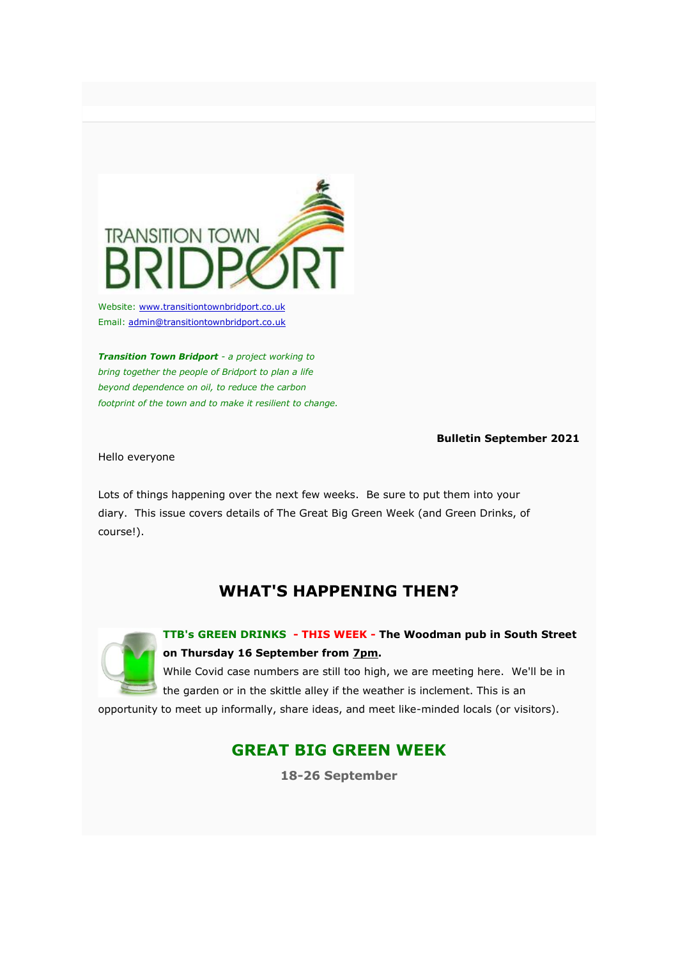

Website: w[ww.transitiontownbridport.co.uk](https://transitiontownbridport.us13.list-manage.com/track/click?u=c5fcbeedffae114d69833f643&id=0d89e12092&e=7424f95957) Email: [admin@transitiontownbridport.co.uk](mailto:admin@transitiontownbridport.co.uk)

*Transition Town Bridport - a project working to bring together the people of Bridport to plan a life beyond dependence on oil, to reduce the carbon footprint of the town and to make it resilient to change.*

### **Bulletin September 2021**

Hello everyone

Lots of things happening over the next few weeks. Be sure to put them into your diary. This issue covers details of The Great Big Green Week (and Green Drinks, of course!).

# **WHAT'S HAPPENING THEN?**



**TTB's GREEN DRINKS - THIS WEEK - The Woodman pub in South Street on Thursday 16 September from 7pm.**

While Covid case numbers are still too high, we are meeting here. We'll be in the garden or in the skittle alley if the weather is inclement. This is an

opportunity to meet up informally, share ideas, and meet like-minded locals (or visitors).

# **GREAT BIG GREEN WEEK**

**18-26 September**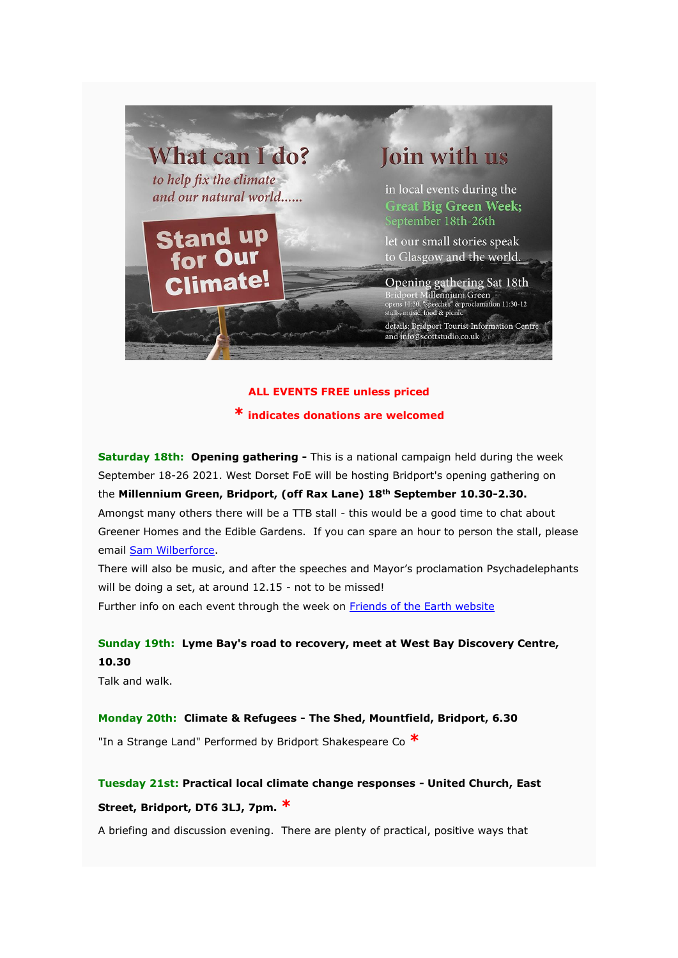

## **ALL EVENTS FREE unless priced**

**\* indicates donations are welcomed**

**Saturday 18th: Opening gathering -** This is a national campaign held during the week September 18-26 2021. West Dorset FoE will be hosting Bridport's opening gathering on the **Millennium Green, Bridport, (off Rax Lane) 18th September 10.30-2.30.**  Amongst many others there will be a TTB stall - this would be a good time to chat about Greener Homes and the Edible Gardens. If you can spare an hour to person the stall, please email [Sam Wilberforce.](https://transitiontownbridport.us13.list-manage.com/track/click?u=c5fcbeedffae114d69833f643&id=1b84bfc9b6&e=7424f95957)

There will also be music, and after the speeches and Mayor's proclamation Psychadelephants will be doing a set, at around 12.15 - not to be missed! Further info on each event through the week on [Friends of the Earth website](https://transitiontownbridport.us13.list-manage.com/track/click?u=c5fcbeedffae114d69833f643&id=0da86dc7d6&e=7424f95957)

## **Sunday 19th: Lyme Bay's road to recovery, meet at West Bay Discovery Centre, 10.30**

Talk and walk.

## **Monday 20th: Climate & Refugees - The Shed, Mountfield, Bridport, 6.30**

"In a Strange Land" Performed by Bridport Shakespeare Co **\***

**Tuesday 21st: Practical local climate change responses - United Church, East Street, Bridport, DT6 3LJ, 7pm. \***

A briefing and discussion evening. There are plenty of practical, positive ways that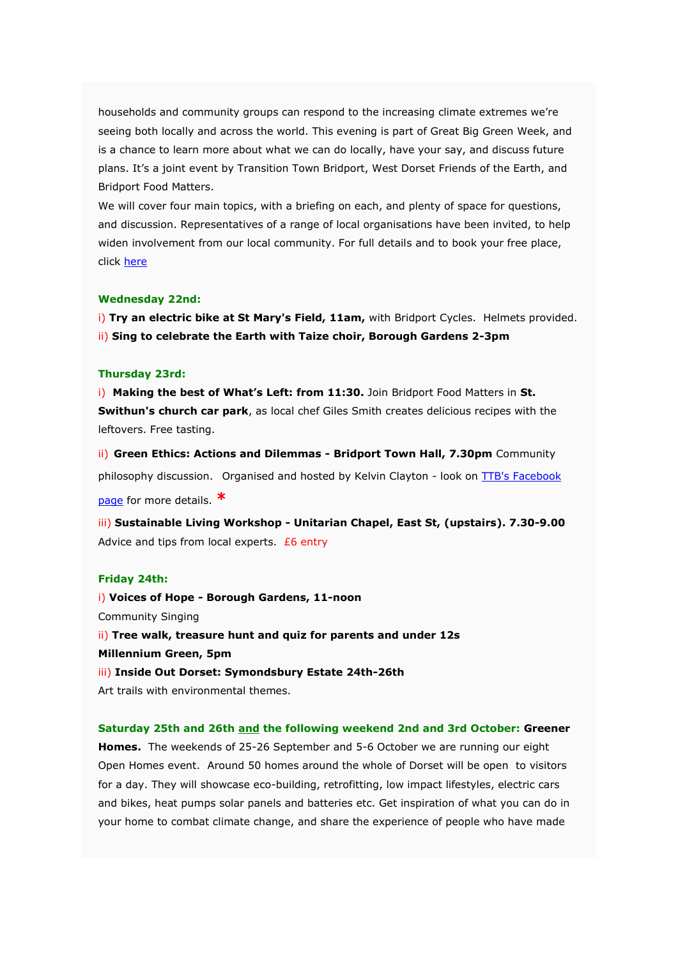households and community groups can respond to the increasing climate extremes we're seeing both locally and across the world. This evening is part of Great Big Green Week, and is a chance to learn more about what we can do locally, have your say, and discuss future plans. It's a joint event by Transition Town Bridport, West Dorset Friends of the Earth, and Bridport Food Matters.

We will cover four main topics, with a briefing on each, and plenty of space for questions, and discussion. Representatives of a range of local organisations have been invited, to help widen involvement from our local community. For full details and to book your free place, click [here](https://transitiontownbridport.us13.list-manage.com/track/click?u=c5fcbeedffae114d69833f643&id=9aba5261ab&e=7424f95957)

#### **Wednesday 22nd:**

i) Try an electric bike at St Mary's Field, 11am, with Bridport Cycles. Helmets provided. ii) **Sing to celebrate the Earth with Taize choir, Borough Gardens 2-3pm**

#### **Thursday 23rd:**

i) **Making the best of What's Left: from 11:30.** Join Bridport Food Matters in **St. Swithun's church car park**, as local chef Giles Smith creates delicious recipes with the leftovers. Free tasting.

ii) **Green Ethics: Actions and Dilemmas - Bridport Town Hall, 7.30pm** Community philosophy discussion. Organised and hosted by Kelvin Clayton - look on TTB's Facebook [page](https://transitiontownbridport.us13.list-manage.com/track/click?u=c5fcbeedffae114d69833f643&id=258a3d143c&e=7424f95957) for more details. **\***

iii) **Sustainable Living Workshop - Unitarian Chapel, East St, (upstairs). 7.30-9.00** Advice and tips from local experts.  $E6$  entry

## **Friday 24th:**

i) **Voices of Hope - Borough Gardens, 11-noon** Community Singing ii) **Tree walk, treasure hunt and quiz for parents and under 12s Millennium Green, 5pm** iii) **Inside Out Dorset: Symondsbury Estate 24th-26th** Art trails with environmental themes.

**Saturday 25th and 26th and the following weekend 2nd and 3rd October: Greener Homes.** The weekends of 25-26 September and 5-6 October we are running our eight Open Homes event. Around 50 homes around the whole of Dorset will be open to visitors for a day. They will showcase eco-building, retrofitting, low impact lifestyles, electric cars and bikes, heat pumps solar panels and batteries etc. Get inspiration of what you can do in your home to combat climate change, and share the experience of people who have made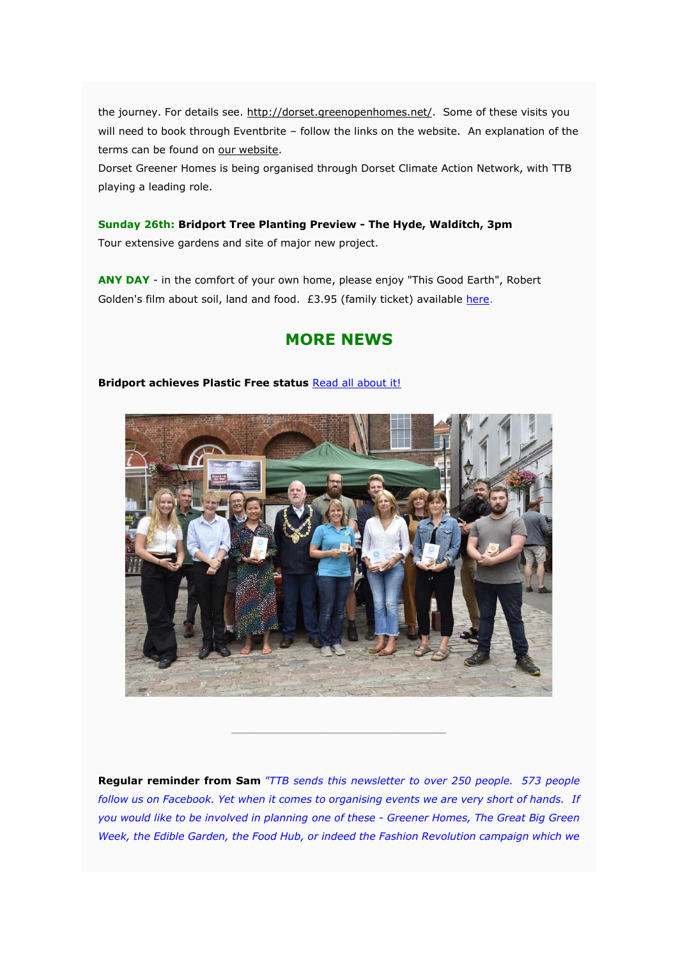the journey. For details see. [http://dorset.greenopenhomes.net/.](https://transitiontownbridport.us13.list-manage.com/track/click?u=c5fcbeedffae114d69833f643&id=134cce104f&e=7424f95957) Some of these visits you will need to book through Eventbrite – follow the links on the website. An explanation of the terms can be found on [our website.](https://transitiontownbridport.us13.list-manage.com/track/click?u=c5fcbeedffae114d69833f643&id=3f262b6c45&e=7424f95957)

Dorset Greener Homes is being organised through Dorset Climate Action Network, with TTB playing a leading role.

**Sunday 26th: Bridport Tree Planting Preview - The Hyde, Walditch, 3pm** Tour extensive gardens and site of major new project.

**ANY DAY** - in the comfort of your own home, please enjoy "This Good Earth", Robert Golden's film about soil, land and food. £3.95 (family ticket) available [here.](https://transitiontownbridport.us13.list-manage.com/track/click?u=c5fcbeedffae114d69833f643&id=634efa4ed8&e=7424f95957)

## **MORE NEWS**

### **Bridport achieves Plastic Free status** [R](https://transitiontownbridport.us13.list-manage.com/track/click?u=c5fcbeedffae114d69833f643&id=802d47f5de&e=7424f95957)[ead all about it!](https://transitiontownbridport.us13.list-manage.com/track/click?u=c5fcbeedffae114d69833f643&id=7be75362ee&e=7424f95957)



**Regular reminder from Sam** *"TTB sends this newsletter to over 250 people. 573 people follow us on Facebook. Yet when it comes to organising events we are very short of hands. If you would like to be involved in planning one of these - Greener Homes, The Great Big Green Week, the Edible Garden, the Food Hub, or indeed the Fashion Revolution campaign which we* 

\_\_\_\_\_\_\_\_\_\_\_\_\_\_\_\_\_\_\_\_\_\_\_\_\_\_\_\_\_\_\_\_\_